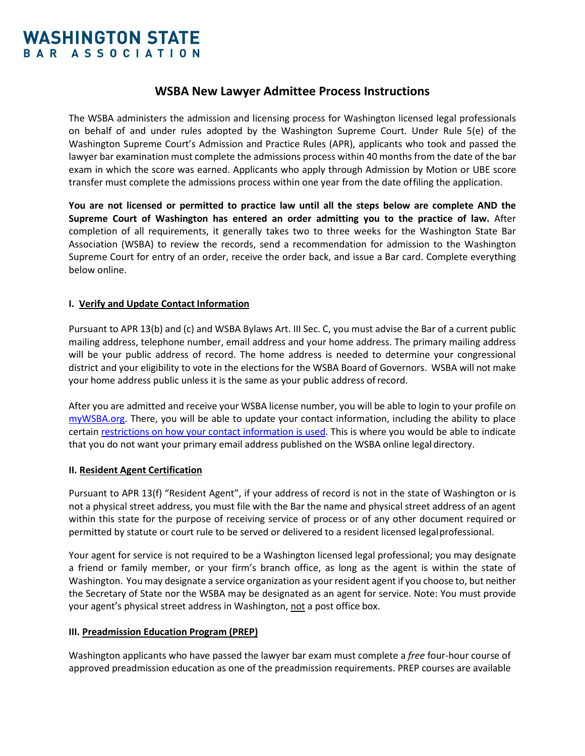### **WSBA New Lawyer Admittee Process Instructions**

The WSBA administers the admission and licensing process for Washington licensed legal professionals on behalf of and under rules adopted by the Washington Supreme Court. Under Rule 5(e) of the Washington Supreme Court's Admission and Practice Rules (APR), applicants who took and passed the lawyer bar examination must complete the admissions process within 40 months from the date of the bar exam in which the score was earned. Applicants who apply through Admission by Motion or UBE score transfer must complete the admissions process within one year from the date offiling the application.

**You are not licensed or permitted to practice law until all the steps below are complete AND the Supreme Court of Washington has entered an order admitting you to the practice of law.** After completion of all requirements, it generally takes two to three weeks for the Washington State Bar Association (WSBA) to review the records, send a recommendation for admission to the Washington Supreme Court for entry of an order, receive the order back, and issue a Bar card. Complete everything below online.

### **I. Verify and Update Contact Information**

Pursuant to APR 13(b) and (c) and WSBA Bylaws Art. III Sec. C, you must advise the Bar of a current public mailing address, telephone number, email address and your home address. The primary mailing address will be your public address of record. The home address is needed to determine your congressional district and your eligibility to vote in the elections for the WSBA Board of Governors. WSBA will not make your home address public unless it is the same as your public address ofrecord.

After you are admitted and receive your WSBA license number, you will be able to login to your profile on [myWSBA.org.](https://www.mywsba.org/PersonifyEbusiness/default.aspx) There, you will be able to update your contact information, including the ability to place certain [restrictions on how your contact information is used.](https://www.wsba.org/docs/default-source/licensing/membership-info-data/contact-info-usage-form.pdf?sfvrsn=6d933af1_4) This is where you would be able to indicate that you do not want your primary email address published on the WSBA online legal directory.

### **II. Resident Agent Certification**

Pursuant to APR 13(f) "Resident Agent", if your address of record is not in the state of Washington or is not a physical street address, you must file with the Bar the name and physical street address of an agent within this state for the purpose of receiving service of process or of any other document required or permitted by statute or court rule to be served or delivered to a resident licensed legalprofessional.

Your agent for service is not required to be a Washington licensed legal professional; you may designate a friend or family member, or your firm's branch office, as long as the agent is within the state of Washington. You may designate a service organization as your resident agent if you choose to, but neither the Secretary of State nor the WSBA may be designated as an agent for service. Note: You must provide your agent's physical street address in Washington, not a post office box.

### **III. Preadmission Education Program (PREP)**

Washington applicants who have passed the lawyer bar exam must complete a *free* four-hour course of approved preadmission education as one of the preadmission requirements. PREP courses are available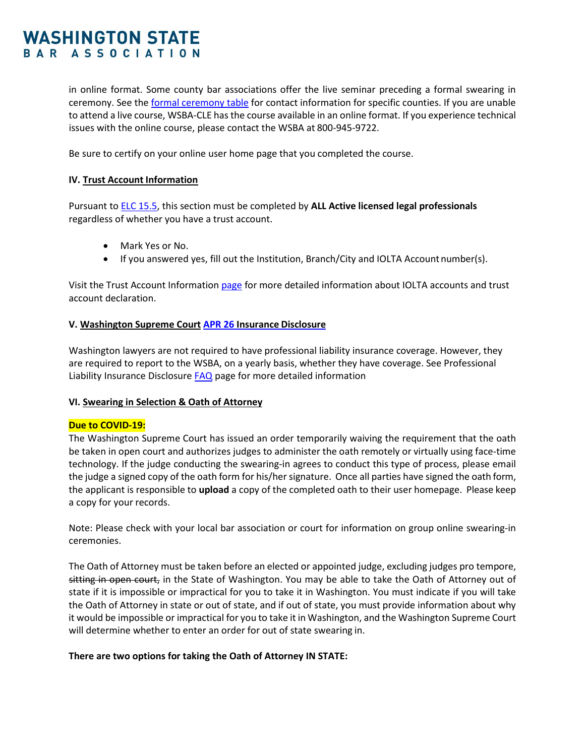in online format. Some county bar associations offer the live seminar preceding a formal swearing in ceremony. See the formal ceremony table for contact information for specific counties. If you are unable to attend a live course, WSBA-CLE has the course available in an online format. If you experience technical issues with the online course, please contact the WSBA at 800-945-9722.

Be sure to certify on your online user home page that you completed the course.

#### **IV. Trust Account Information**

Pursuant t[o ELC 15.5, t](http://www.courts.wa.gov/court_rules/?fa=court_rules.display&group=ga&set=ELC&ruleid=gaelc1515.05)his section must be completed by **ALL Active licensed legal professionals** regardless of whether you have a trust account.

- Mark Yes or No.
- If you answered yes, fill out the Institution, Branch/City and IOLTA Account number(s).

Visit the Trust Account Informatio[n page](http://www.wsba.org/Licensing-and-Lawyer-Conduct/IOLTA-AND-CLIENT-TRUST-ACCOUNTS) for more detailed information about IOLTA accounts and trust account declaration.

#### **V. Washington Supreme Court [APR 26](http://www.courts.wa.gov/court_rules/?fa=court_rules.display&group=ga&set=APR&ruleid=gaapr26) Insurance Disclosure**

Washington lawyers are not required to have professional liability insurance coverage. However, they are required to report to the WSBA, on a yearly basis, whether they have coverage. See Professional Liability Insurance Disclosure **FAQ** page for more detailed information

#### **VI. Swearing in Selection & Oath of Attorney**

### **Due to COVID-19:**

The Washington Supreme Court has issued an order temporarily waiving the requirement that the oath be taken in open court and authorizes judges to administer the oath remotely or virtually using face-time technology. If the judge conducting the swearing-in agrees to conduct this type of process, please email the judge a signed copy of the oath form for his/her signature. Once all parties have signed the oath form, the applicant is responsible to **upload** a copy of the completed oath to their user homepage. Please keep a copy for your records.

Note: Please check with your local bar association or court for information on group online swearing-in ceremonies.

The Oath of Attorney must be taken before an elected or appointed judge, excluding judges pro tempore, sitting in open court, in the State of Washington. You may be able to take the Oath of Attorney out of state if it is impossible or impractical for you to take it in Washington. You must indicate if you will take the Oath of Attorney in state or out of state, and if out of state, you must provide information about why it would be impossible or impractical for you to take it in Washington, and the Washington Supreme Court will determine whether to enter an order for out of state swearing in.

### **There are two options for taking the Oath of Attorney IN STATE:**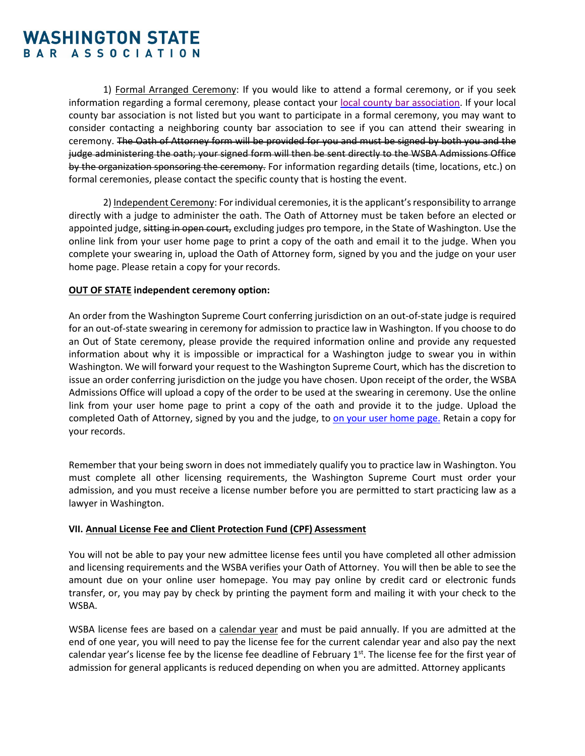1) Formal Arranged Ceremony: If you would like to attend a formal ceremony, or if you seek information regarding a formal ceremony, please contact your [local county bar association.](https://www.wsba.org/docs/default-source/licensing/admissions/scoring-and-nap/county-formal-swearing-in-july-2021.pdf?sfvrsn=f2d514f1_12) If your local county bar association is not listed but you want to participate in a formal ceremony, you may want to consider contacting a neighboring county bar association to see if you can attend their swearing in ceremony. The Oath of Attorney form will be provided for you and must be signed by both you and the judge administering the oath; your signed form will then be sent directly to the WSBA Admissions Office by the organization sponsoring the ceremony. For information regarding details (time, locations, etc.) on formal ceremonies, please contact the specific county that is hosting the event.

2) Independent Ceremony: For individual ceremonies, it is the applicant's responsibility to arrange directly with a judge to administer the oath. The Oath of Attorney must be taken before an elected or appointed judge, sitting in open court, excluding judges pro tempore, in the State of Washington. Use the online link from your user home page to print a copy of the oath and email it to the judge. When you complete your swearing in, upload the Oath of Attorney form, signed by you and the judge on your user home page. Please retain a copy for your records.

### **OUT OF STATE independent ceremony option:**

An order from the Washington Supreme Court conferring jurisdiction on an out-of-state judge is required for an out-of-state swearing in ceremony for admission to practice law in Washington. If you choose to do an Out of State ceremony, please provide the required information online and provide any requested information about why it is impossible or impractical for a Washington judge to swear you in within Washington. We will forward your request to the Washington Supreme Court, which has the discretion to issue an order conferring jurisdiction on the judge you have chosen. Upon receipt of the order, the WSBA Admissions Office will upload a copy of the order to be used at the swearing in ceremony. Use the online link from your user home page to print a copy of the oath and provide it to the judge. Upload the completed Oath of Attorney, signed by you and the judge, t[o on y](mailto:admissions@wsba.org)our user home page. Retain a copy for your records.

Remember that your being sworn in does not immediately qualify you to practice law in Washington. You must complete all other licensing requirements, the Washington Supreme Court must order your admission, and you must receive a license number before you are permitted to start practicing law as a lawyer in Washington.

### **VII. Annual License Fee and Client Protection Fund (CPF) Assessment**

You will not be able to pay your new admittee license fees until you have completed all other admission and licensing requirements and the WSBA verifies your Oath of Attorney. You will then be able to see the amount due on your online user homepage. You may pay online by credit card or electronic funds transfer, or, you may pay by check by printing the payment form and mailing it with your check to the WSBA.

WSBA license fees are based on a calendar year and must be paid annually. If you are admitted at the end of one year, you will need to pay the license fee for the current calendar year and also pay the next calendar year's license fee by the license fee deadline of February  $1<sup>st</sup>$ . The license fee for the first year of admission for general applicants is reduced depending on when you are admitted. Attorney applicants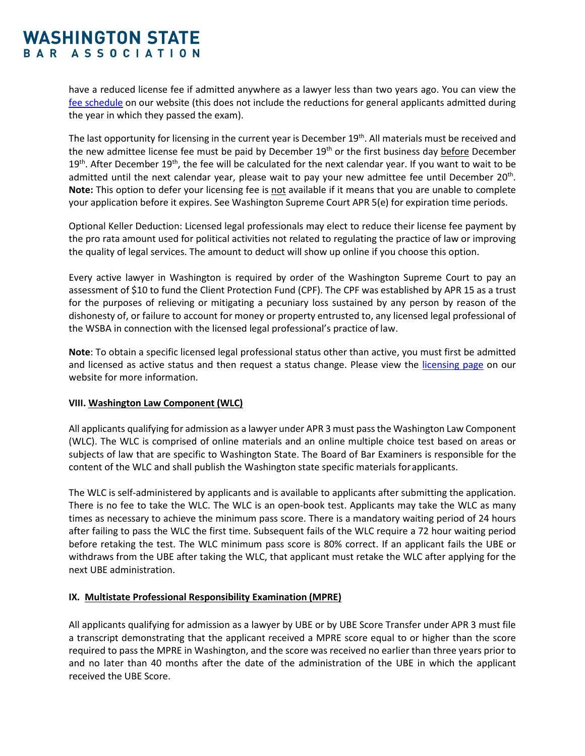have a reduced license fee if admitted anywhere as a lawyer less than two years ago. You can view the [fee schedule](http://www.wsba.org/Licensing-and-Lawyer-Conduct/Annual-License-Renewal/License-Fees) on our website (this does not include the reductions for general applicants admitted during the year in which they passed the exam).

The last opportunity for licensing in the current year is December 19<sup>th</sup>. All materials must be received and the new admittee license fee must be paid by December  $19<sup>th</sup>$  or the first business day before December  $19<sup>th</sup>$ . After December  $19<sup>th</sup>$ , the fee will be calculated for the next calendar year. If you want to wait to be admitted until the next calendar year, please wait to pay your new admittee fee until December 20<sup>th</sup>. **Note:** This option to defer your licensing fee is not available if it means that you are unable to complete your application before it expires. See Washington Supreme Court APR 5(e) for expiration time periods.

Optional Keller Deduction: Licensed legal professionals may elect to reduce their license fee payment by the pro rata amount used for political activities not related to regulating the practice of law or improving the quality of legal services. The amount to deduct will show up online if you choose this option.

Every active lawyer in Washington is required by order of the Washington Supreme Court to pay an assessment of \$10 to fund the Client Protection Fund (CPF). The CPF was established by APR 15 as a trust for the purposes of relieving or mitigating a pecuniary loss sustained by any person by reason of the dishonesty of, or failure to account for money or property entrusted to, any licensed legal professional of the WSBA in connection with the licensed legal professional's practice of law.

**Note**: To obtain a specific licensed legal professional status other than active, you must first be admitted and licensed as active status and then request a status change. Please view the [licensing page](https://wsbacms.wsba.org/for-legal-professionals/license-renewal) on our website for more information.

### **VIII. Washington Law Component (WLC)**

All applicants qualifying for admission as a lawyer under APR 3 must passthe Washington Law Component (WLC). The WLC is comprised of online materials and an online multiple choice test based on areas or subjects of law that are specific to Washington State. The Board of Bar Examiners is responsible for the content of the WLC and shall publish the Washington state specific materials forapplicants.

The WLC is self-administered by applicants and is available to applicants after submitting the application. There is no fee to take the WLC. The WLC is an open-book test. Applicants may take the WLC as many times as necessary to achieve the minimum pass score. There is a mandatory waiting period of 24 hours after failing to pass the WLC the first time. Subsequent fails of the WLC require a 72 hour waiting period before retaking the test. The WLC minimum pass score is 80% correct. If an applicant fails the UBE or withdraws from the UBE after taking the WLC, that applicant must retake the WLC after applying for the next UBE administration.

### **IX. Multistate Professional Responsibility Examination (MPRE)**

All applicants qualifying for admission as a lawyer by UBE or by UBE Score Transfer under APR 3 must file a transcript demonstrating that the applicant received a MPRE score equal to or higher than the score required to pass the MPRE in Washington, and the score was received no earlier than three years prior to and no later than 40 months after the date of the administration of the UBE in which the applicant received the UBE Score.